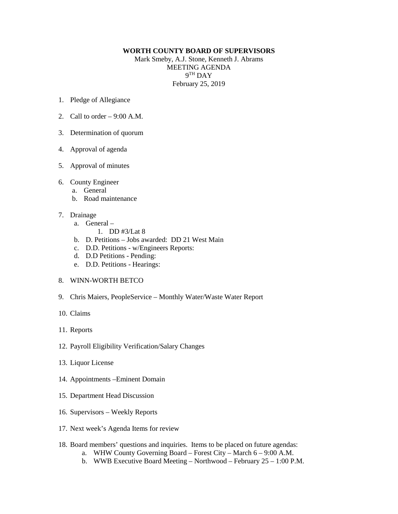## **WORTH COUNTY BOARD OF SUPERVISORS**

Mark Smeby, A.J. Stone, Kenneth J. Abrams MEETING AGENDA 9TH DAY February 25, 2019

- 1. Pledge of Allegiance
- 2. Call to order  $-9:00$  A.M.
- 3. Determination of quorum
- 4. Approval of agenda
- 5. Approval of minutes
- 6. County Engineer
	- a. General
	- b. Road maintenance
- 7. Drainage
	- a. General
		- 1. DD #3/Lat 8
	- b. D. Petitions Jobs awarded: DD 21 West Main
	- c. D.D. Petitions w/Engineers Reports:
	- d. D.D Petitions Pending:
	- e. D.D. Petitions Hearings:

## 8. WINN-WORTH BETCO

- 9. Chris Maiers, PeopleService Monthly Water/Waste Water Report
- 10. Claims
- 11. Reports
- 12. Payroll Eligibility Verification/Salary Changes
- 13. Liquor License
- 14. Appointments –Eminent Domain
- 15. Department Head Discussion
- 16. Supervisors Weekly Reports
- 17. Next week's Agenda Items for review
- 18. Board members' questions and inquiries. Items to be placed on future agendas:
	- a. WHW County Governing Board Forest City March 6 9:00 A.M.
	- b. WWB Executive Board Meeting Northwood February 25 1:00 P.M.